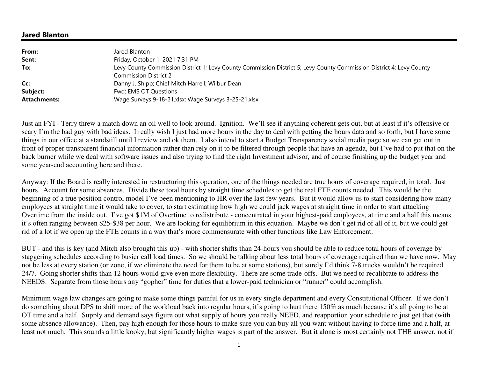## **Jared Blanton**

| From:               | Jared Blanton                                                                                                                                        |
|---------------------|------------------------------------------------------------------------------------------------------------------------------------------------------|
| Sent:               | Friday, October 1, 2021 7:31 PM                                                                                                                      |
| To:                 | Levy County Commission District 1; Levy County Commission District 5; Levy County Commission District 4; Levy County<br><b>Commission District 2</b> |
| Cc:                 | Danny J. Shipp; Chief Mitch Harrell; Wilbur Dean                                                                                                     |
| Subject:            | Fwd: EMS OT Questions                                                                                                                                |
| <b>Attachments:</b> | Wage Surveys 9-18-21.xlsx; Wage Surveys 3-25-21.xlsx                                                                                                 |

Just an FYI - Terry threw a match down an oil well to look around. Ignition. We'll see if anything coherent gets out, but at least if it's offensive or scary I'm the bad guy with bad ideas. I really wish I just had more hours in the day to deal with getting the hours data and so forth, but I have some things in our office at a standstill until I review and ok them. I also intend to start a Budget Transparency social media page so we can get out in front of proper transparent financial information rather than rely on it to be filtered through people that have an agenda, but I've had to put that on the back burner while we deal with software issues and also trying to find the right Investment advisor, and of course finishing up the budget year and some year-end accounting here and there.

Anyway: If the Board is really interested in restructuring this operation, one of the things needed are true hours of coverage required, in total. Just hours. Account for some absences. Divide these total hours by straight time schedules to get the real FTE counts needed. This would be the beginning of a true position control model I've been mentioning to HR over the last few years. But it would allow us to start considering how many employees at straight time it would take to cover, to start estimating how high we could jack wages at straight time in order to start attacking Overtime from the inside out. I've got \$1M of Overtime to redistribute - concentrated in your highest-paid employees, at time and a half this means it's often ranging between \$25-\$38 per hour. We are looking for equilibrium in this equation. Maybe we don't get rid of all of it, but we could get rid of a lot if we open up the FTE counts in a way that's more commensurate with other functions like Law Enforcement.

BUT - and this is key (and Mitch also brought this up) - with shorter shifts than 24-hours you should be able to reduce total hours of coverage by staggering schedules according to busier call load times. So we should be talking about less total hours of coverage required than we have now. May not be less at every station (or zone, if we eliminate the need for them to be at some stations), but surely I'd think 7-8 trucks wouldn't be required 24/7. Going shorter shifts than 12 hours would give even more flexibility. There are some trade-offs. But we need to recalibrate to address the NEEDS. Separate from those hours any "gopher" time for duties that a lower-paid technician or "runner" could accomplish.

Minimum wage law changes are going to make some things painful for us in every single department and every Constitutional Officer. If we don't do something about DPS to shift more of the workload back into regular hours, it's going to hurt there 150% as much because it's all going to be at OT time and a half. Supply and demand says figure out what supply of hours you really NEED, and reapportion your schedule to just get that (with some absence allowance). Then, pay high enough for those hours to make sure you can buy all you want without having to force time and a half, at least not much. This sounds a little kooky, but significantly higher wages is part of the answer. But it alone is most certainly not THE answer, not if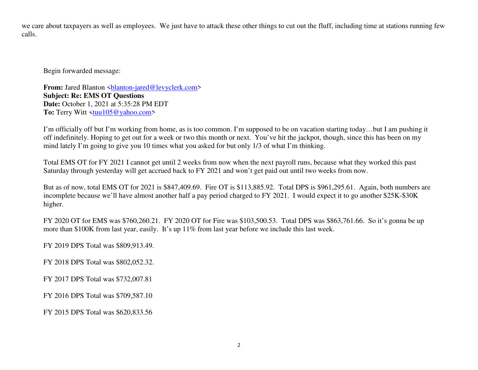we care about taxpayers as well as employees. We just have to attack these other things to cut out the fluff, including time at stations running few calls.

Begin forwarded message:

**From:** Jared Blanton <br/> <br/> <br/> <br/> <br/>
<u>Alanton-jared@levyclerk.com></u> **Subject: Re: EMS OT Questions Date:** October 1, 2021 at 5:35:28 PM EDT To: Terry Witt <tuu105@yahoo.com>

I'm officially off but I'm working from home, as is too common. I'm supposed to be on vacation starting today…but I am pushing it off indefinitely. Hoping to get out for a week or two this month or next. You've hit the jackpot, though, since this has been on my mind lately I'm going to give you 10 times what you asked for but only 1/3 of what I'm thinking.

Total EMS OT for FY 2021 I cannot get until 2 weeks from now when the next payroll runs, because what they worked this past Saturday through yesterday will get accrued back to FY 2021 and won't get paid out until two weeks from now.

But as of now, total EMS OT for 2021 is \$847,409.69. Fire OT is \$113,885.92. Total DPS is \$961,295.61. Again, both numbers are incomplete because we'll have almost another half a pay period charged to FY 2021. I would expect it to go another \$25K-\$30K higher.

FY 2020 OT for EMS was \$760,260.21. FY 2020 OT for Fire was \$103,500.53. Total DPS was \$863,761.66. So it's gonna be up more than \$100K from last year, easily. It's up 11% from last year before we include this last week.

FY 2019 DPS Total was \$809,913.49.

FY 2018 DPS Total was \$802,052.32.

FY 2017 DPS Total was \$732,007.81

FY 2016 DPS Total was \$709,587.10

FY 2015 DPS Total was \$620,833.56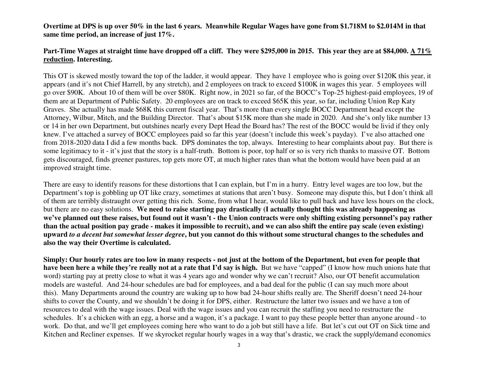**Overtime at DPS is up over 50% in the last 6 years. Meanwhile Regular Wages have gone from \$1.718M to \$2.014M in that same time period, an increase of just 17%.** 

## **Part-Time Wages at straight time have dropped off a cliff. They were \$295,000 in 2015. This year they are at \$84,000. A 71% reduction. Interesting.**

This OT is skewed mostly toward the top of the ladder, it would appear. They have 1 employee who is going over \$120K this year, it appears (and it's not Chief Harrell, by any stretch), and 2 employees on track to exceed \$100K in wages this year. 5 employees will go over \$90K. About 10 of them will be over \$80K. Right now, in 2021 so far, of the BOCC's Top-25 highest-paid employees, 19 of them are at Department of Public Safety. 20 employees are on track to exceed \$65K this year, so far, including Union Rep Katy Graves. She actually has made \$68K this current fiscal year. That's more than every single BOCC Department head except the Attorney, Wilbur, Mitch, and the Building Director. That's about \$15K more than she made in 2020. And she's only like number 13 or 14 in her own Department, but outshines nearly every Dept Head the Board has? The rest of the BOCC would be livid if they only knew. I've attached a survey of BOCC employees paid so far this year (doesn't include this week's payday). I've also attached one from 2018-2020 data I did a few months back. DPS dominates the top, always. Interesting to hear complaints about pay. But there is some legitimacy to it - it's just that the story is a half-truth. Bottom is poor, top half or so is very rich thanks to massive OT. Bottom gets discouraged, finds greener pastures, top gets more OT, at much higher rates than what the bottom would have been paid at an improved straight time.

There are easy to identify reasons for these distortions that I can explain, but I'm in a hurry. Entry level wages are too low, but the Department's top is gobbling up OT like crazy, sometimes at stations that aren't busy. Someone may dispute this, but I don't think all of them are terribly distraught over getting this rich. Some, from what I hear, would like to pull back and have less hours on the clock, but there are no easy solutions. **We need to raise starting pay drastically (I actually thought this was already happening as we've planned out these raises, but found out it wasn't - the Union contracts were only shifting existing personnel's pay rather than the actual position pay grade - makes it impossible to recruit), and we can also shift the entire pay scale (even existing) upward** *to a decent but somewhat lesser degree***, but you cannot do this without some structural changes to the schedules and also the way their Overtime is calculated.** 

**Simply: Our hourly rates are too low in many respects - not just at the bottom of the Department, but even for people that have been here a while they're really not at a rate that I'd say is high.** But we have "capped" (I know how much unions hate that word) starting pay at pretty close to what it was 4 years ago and wonder why we can't recruit? Also, our OT benefit accumulation models are wasteful. And 24-hour schedules are bad for employees, and a bad deal for the public (I can say much more about this). Many Departments around the country are waking up to how bad 24-hour shifts really are. The Sheriff doesn't need 24-hour shifts to cover the County, and we shouldn't be doing it for DPS, either. Restructure the latter two issues and we have a ton of resources to deal with the wage issues. Deal with the wage issues and you can recruit the staffing you need to restructure the schedules. It's a chicken with an egg, a horse and a wagon, it's a package. I want to pay these people better than anyone around - to work. Do that, and we'll get employees coming here who want to do a job but still have a life. But let's cut out OT on Sick time and Kitchen and Recliner expenses. If we skyrocket regular hourly wages in a way that's drastic, we crack the supply/demand economics